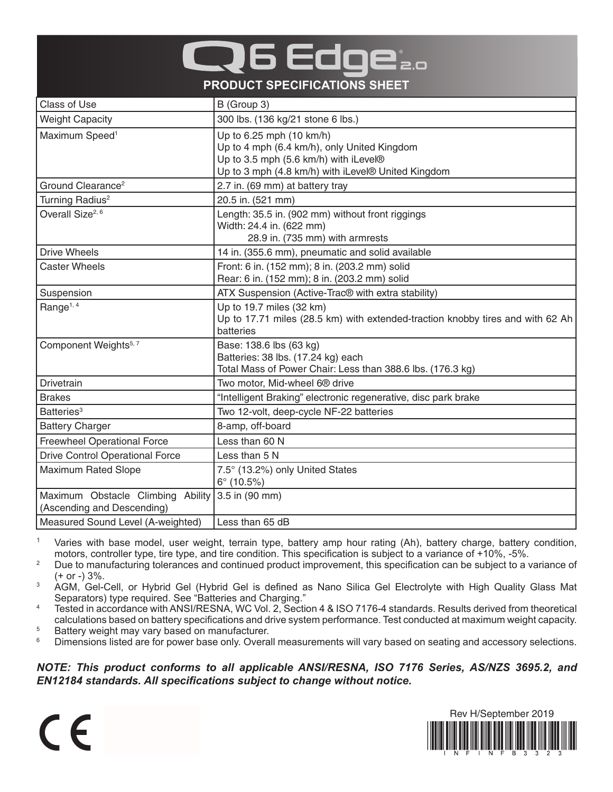## 6 Edoe **PRODUCT SPECIFICATIONS SHEET**

| Class of Use                           | B (Group 3)                                                                          |
|----------------------------------------|--------------------------------------------------------------------------------------|
| <b>Weight Capacity</b>                 | 300 lbs. (136 kg/21 stone 6 lbs.)                                                    |
| Maximum Speed <sup>1</sup>             | Up to 6.25 mph (10 km/h)                                                             |
|                                        | Up to 4 mph (6.4 km/h), only United Kingdom<br>Up to 3.5 mph (5.6 km/h) with iLevel® |
|                                        | Up to 3 mph (4.8 km/h) with iLevel® United Kingdom                                   |
| Ground Clearance <sup>2</sup>          | 2.7 in. (69 mm) at battery tray                                                      |
| Turning Radius <sup>2</sup>            | 20.5 in. (521 mm)                                                                    |
| Overall Size <sup>2, 6</sup>           | Length: 35.5 in. (902 mm) without front riggings                                     |
|                                        | Width: 24.4 in. (622 mm)                                                             |
|                                        | 28.9 in. (735 mm) with armrests                                                      |
| <b>Drive Wheels</b>                    | 14 in. (355.6 mm), pneumatic and solid available                                     |
| <b>Caster Wheels</b>                   | Front: 6 in. (152 mm); 8 in. (203.2 mm) solid                                        |
|                                        | Rear: 6 in. (152 mm); 8 in. (203.2 mm) solid                                         |
| Suspension                             | ATX Suspension (Active-Trac <sup>®</sup> with extra stability)                       |
| Range <sup>1, 4</sup>                  | Up to 19.7 miles (32 km)                                                             |
|                                        | Up to 17.71 miles (28.5 km) with extended-traction knobby tires and with 62 Ah       |
|                                        | batteries                                                                            |
| Component Weights <sup>5, 7</sup>      | Base: 138.6 lbs (63 kg)                                                              |
|                                        | Batteries: 38 lbs. (17.24 kg) each                                                   |
|                                        | Total Mass of Power Chair: Less than 388.6 lbs. (176.3 kg)                           |
| Drivetrain                             | Two motor, Mid-wheel 6 <sup>®</sup> drive                                            |
| <b>Brakes</b>                          | "Intelligent Braking" electronic regenerative, disc park brake                       |
| Batteries <sup>3</sup>                 | Two 12-volt, deep-cycle NF-22 batteries                                              |
| <b>Battery Charger</b>                 | 8-amp, off-board                                                                     |
| <b>Freewheel Operational Force</b>     | Less than 60 N                                                                       |
| <b>Drive Control Operational Force</b> | Less than 5 N                                                                        |
| <b>Maximum Rated Slope</b>             | 7.5° (13.2%) only United States                                                      |
|                                        | $6^{\circ}$ (10.5%)                                                                  |
| Maximum Obstacle Climbing Ability      | 3.5 in (90 mm)                                                                       |
| (Ascending and Descending)             |                                                                                      |
| Measured Sound Level (A-weighted)      | Less than 65 dB                                                                      |

<sup>1</sup> Varies with base model, user weight, terrain type, battery amp hour rating (Ah), battery charge, battery condition, motors, controller type, tire type, and tire condition. This specification is subject to a variance of +10%, -5%.

<sup>2</sup> Due to manufacturing tolerances and continued product improvement, this specification can be subject to a variance of (+ or -) 3%.

<sup>3</sup> AGM, Gel-Cell, or Hybrid Gel (Hybrid Gel is defined as Nano Silica Gel Electrolyte with High Quality Glass Mat Separators) type required. See "Batteries and Charging."

<sup>4</sup> Tested in accordance with ANSI/RESNA, WC Vol. 2, Section 4 & ISO 7176-4 standards. Results derived from theoretical calculations based on battery specifications and drive system performance. Test conducted at maximum weight capacity.

 $5$  Battery weight may vary based on manufacturer.<br> $6$  Dimensions listed are for nower base only Overa

 $\epsilon$ 

Dimensions listed are for power base only. Overall measurements will vary based on seating and accessory selections.

*NOTE: This product conforms to all applicable ANSI/RESNA, ISO 7176 Series, AS/NZS 3695.2, and EN12184 standards. All specifications subject to change without notice.*